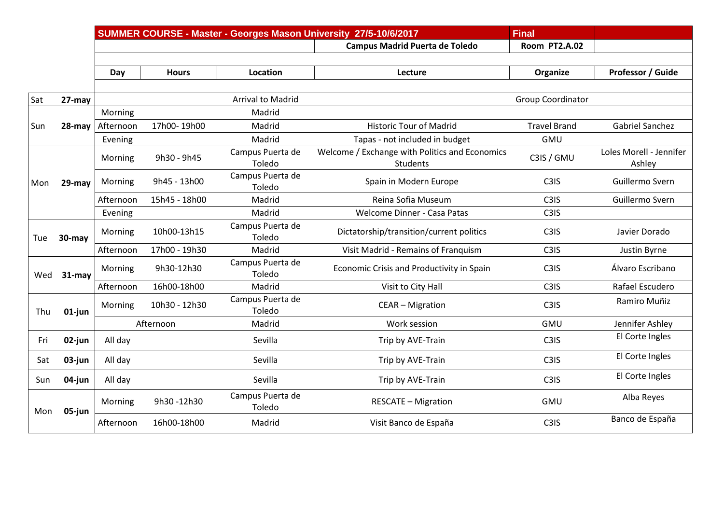|     |            |           |               |                            | SUMMER COURSE - Master - Georges Mason University 27/5-10/6/2017 | <b>Final</b>             |                                   |
|-----|------------|-----------|---------------|----------------------------|------------------------------------------------------------------|--------------------------|-----------------------------------|
|     |            |           |               |                            | <b>Campus Madrid Puerta de Toledo</b>                            | <b>Room PT2.A.02</b>     |                                   |
|     |            |           |               |                            |                                                                  |                          |                                   |
|     |            | Day       | <b>Hours</b>  | Location                   | Lecture                                                          | Organize                 | Professor / Guide                 |
|     |            |           |               |                            |                                                                  |                          |                                   |
| Sat | 27-may     |           |               | <b>Arrival to Madrid</b>   |                                                                  | <b>Group Coordinator</b> |                                   |
| Sun | $28 - may$ | Morning   |               | Madrid                     |                                                                  |                          |                                   |
|     |            | Afternoon | 17h00-19h00   | Madrid                     | <b>Historic Tour of Madrid</b>                                   | <b>Travel Brand</b>      | <b>Gabriel Sanchez</b>            |
|     |            | Evening   |               | Madrid                     | Tapas - not included in budget                                   | <b>GMU</b>               |                                   |
| Mon | 29-may     | Morning   | 9h30 - 9h45   | Campus Puerta de<br>Toledo | Welcome / Exchange with Politics and Economics<br>Students       | C3IS / GMU               | Loles Morell - Jennifer<br>Ashley |
|     |            | Morning   | 9h45 - 13h00  | Campus Puerta de<br>Toledo | Spain in Modern Europe                                           | C3IS                     | Guillermo Svern                   |
|     |            | Afternoon | 15h45 - 18h00 | Madrid                     | Reina Sofia Museum                                               | C3IS                     | Guillermo Svern                   |
|     |            | Evening   |               | Madrid                     | <b>Welcome Dinner - Casa Patas</b>                               | C3IS                     |                                   |
| Tue | $30 - may$ | Morning   | 10h00-13h15   | Campus Puerta de<br>Toledo | Dictatorship/transition/current politics                         | C3IS                     | Javier Dorado                     |
|     |            | Afternoon | 17h00 - 19h30 | Madrid                     | Visit Madrid - Remains of Franquism                              | C3IS                     | Justin Byrne                      |
| Wed | 31-may     | Morning   | 9h30-12h30    | Campus Puerta de<br>Toledo | Economic Crisis and Productivity in Spain                        | C3IS                     | Álvaro Escribano                  |
|     |            | Afternoon | 16h00-18h00   | Madrid                     | Visit to City Hall                                               | C3IS                     | Rafael Escudero                   |
| Thu | $01$ -jun  | Morning   | 10h30 - 12h30 | Campus Puerta de<br>Toledo | <b>CEAR - Migration</b>                                          | C3IS                     | Ramiro Muñiz                      |
|     |            |           | Afternoon     | Madrid                     | Work session                                                     | <b>GMU</b>               | Jennifer Ashley                   |
| Fri | 02-jun     | All day   |               | Sevilla                    | Trip by AVE-Train                                                | C3IS                     | El Corte Ingles                   |
| Sat | $03$ -jun  | All day   |               | Sevilla                    | Trip by AVE-Train                                                | C3IS                     | El Corte Ingles                   |
| Sun | 04-jun     | All day   |               | Sevilla                    | Trip by AVE-Train                                                | C3IS                     | El Corte Ingles                   |
| Mon | 05-jun     | Morning   | 9h30-12h30    | Campus Puerta de<br>Toledo | <b>RESCATE - Migration</b>                                       | <b>GMU</b>               | Alba Reyes                        |
|     |            | Afternoon | 16h00-18h00   | Madrid                     | Visit Banco de España                                            | C3IS                     | Banco de España                   |